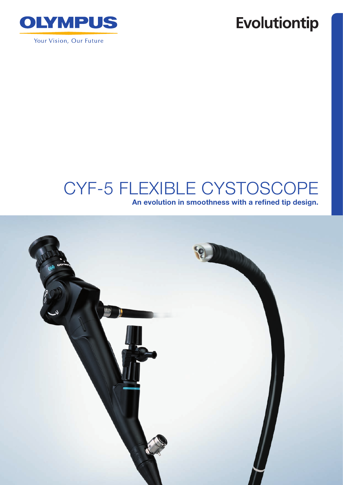

## **Evolutiontip**

# CYF-5 Flexible Cystoscope

An evolution in smoothness with a refined tip design.

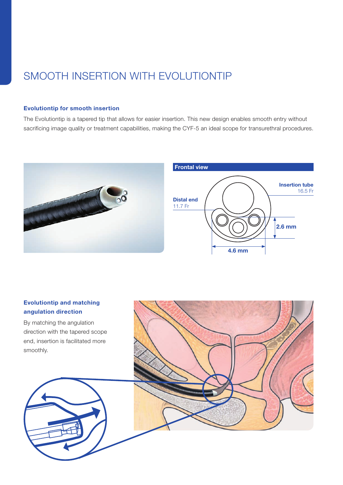## SMOOTH INSERTION WITH EVOLUTIONTIP

#### Evolutiontip for smooth insertion

The Evolutiontip is a tapered tip that allows for easier insertion. This new design enables smooth entry without sacrificing image quality or treatment capabilities, making the CYF-5 an ideal scope for transurethral procedures.



#### Evolutiontip and matching angulation direction

By matching the angulation direction with the tapered scope end, insertion is facilitated more smoothly.



2.6 mm

Insertion tube 16.5 Fr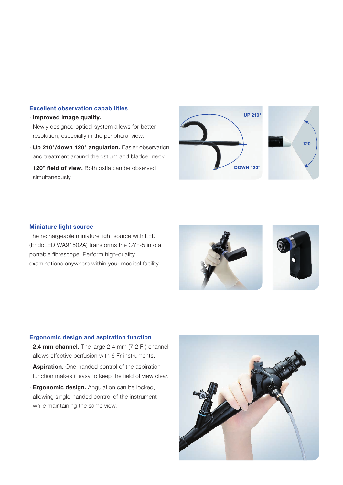#### Excellent observation capabilities

- · Improved image quality. Newly designed optical system allows for better resolution, especially in the peripheral view.
- · Up 210°/down 120° angulation. Easier observation and treatment around the ostium and bladder neck.
- · 120° field of view. Both ostia can be observed simultaneously.





#### Miniature light source

 The rechargeable miniature light source with LED (EndoLED WA91502A) transforms the CYF-5 into a portable fibrescope. Perform high-quality examinations anywhere within your medical facility.





#### Ergonomic design and aspiration function

- · 2.4 mm channel. The large 2.4 mm (7.2 Fr) channel allows effective perfusion with 6 Fr instruments.
- · Aspiration. One-handed control of the aspiration function makes it easy to keep the field of view clear.
- **Ergonomic design.** Angulation can be locked, allowing single-handed control of the instrument while maintaining the same view.